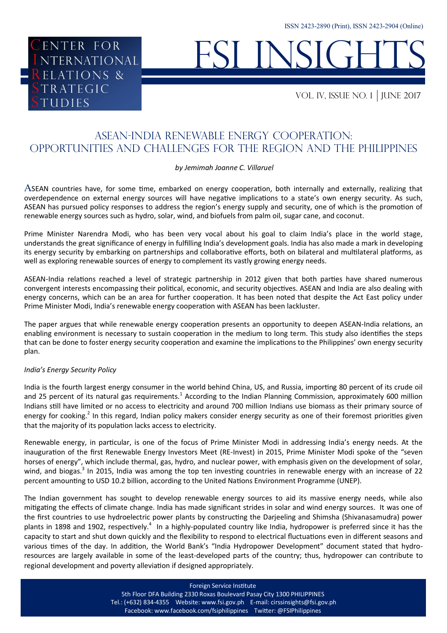# FSI INSIGHTS

VOL. IV, issue NO. 1 JUNE 2017

# ASEAN-India Renewable Energy Cooperation: Opportunities and Challenges for the Region and the Philippines

### *by Jemimah Joanne C. Villaruel*

ASEAN countries have, for some time, embarked on energy cooperation, both internally and externally, realizing that overdependence on external energy sources will have negative implications to a state's own energy security. As such, ASEAN has pursued policy responses to address the region's energy supply and security, one of which is the promotion of renewable energy sources such as hydro, solar, wind, and biofuels from palm oil, sugar cane, and coconut.

Prime Minister Narendra Modi, who has been very vocal about his goal to claim India's place in the world stage, understands the great significance of energy in fulfilling India's development goals. India has also made a mark in developing its energy security by embarking on partnerships and collaborative efforts, both on bilateral and multilateral platforms, as well as exploring renewable sources of energy to complement its vastly growing energy needs.

ASEAN-India relations reached a level of strategic partnership in 2012 given that both parties have shared numerous convergent interests encompassing their political, economic, and security objectives. ASEAN and India are also dealing with energy concerns, which can be an area for further cooperation. It has been noted that despite the Act East policy under Prime Minister Modi, India's renewable energy cooperation with ASEAN has been lackluster.

The paper argues that while renewable energy cooperation presents an opportunity to deepen ASEAN-India relations, an enabling environment is necessary to sustain cooperation in the medium to long term. This study also identifies the steps that can be done to foster energy security cooperation and examine the implications to the Philippines' own energy security plan.

#### *India's Energy Security Policy*

ENTER FOR

**RELATIONS &** 

TRATEGIC

**UDIES** 

ENTER FOR<br>NTERNATIONAL<br>ELATIONS &

India is the fourth largest energy consumer in the world behind China, US, and Russia, importing 80 percent of its crude oil and 25 percent of its natural gas requirements.<sup>1</sup> According to the Indian Planning Commission, approximately 600 million Indians still have limited or no access to electricity and around 700 million Indians use biomass as their primary source of energy for cooking.<sup>2</sup> In this regard, Indian policy makers consider energy security as one of their foremost priorities given that the majority of its population lacks access to electricity.

Renewable energy, in particular, is one of the focus of Prime Minister Modi in addressing India's energy needs. At the inauguration of the first Renewable Energy Investors Meet (RE-Invest) in 2015, Prime Minister Modi spoke of the "seven horses of energy", which include thermal, gas, hydro, and nuclear power, with emphasis given on the development of solar, wind, and biogas.<sup>3</sup> In 2015, India was among the top ten investing countries in renewable energy with an increase of 22 percent amounting to USD 10.2 billion, according to the United Nations Environment Programme (UNEP).

The Indian government has sought to develop renewable energy sources to aid its massive energy needs, while also mitigating the effects of climate change. India has made significant strides in solar and wind energy sources. It was one of the first countries to use hydroelectric power plants by constructing the Darjeeling and Shimsha (Shivanasamudra) power plants in 1898 and 1902, respectively.<sup>4</sup> In a highly-populated country like India, hydropower is preferred since it has the capacity to start and shut down quickly and the flexibility to respond to electrical fluctuations even in different seasons and various times of the day. In addition, the World Bank's "India Hydropower Development" document stated that hydroresources are largely available in some of the least-developed parts of the country; thus, hydropower can contribute to regional development and poverty alleviation if designed appropriately.

Foreign Service Institute

5th Floor DFA Building 2330 Roxas Boulevard Pasay City 1300 PHILIPPINES Tel.: (+632) 834-4355 Website: www.fsi.gov.ph E-mail: cirssinsights@fsi.gov.ph Facebook: www.facebook.com/fsiphilippines Twitter: @FSIPhilippines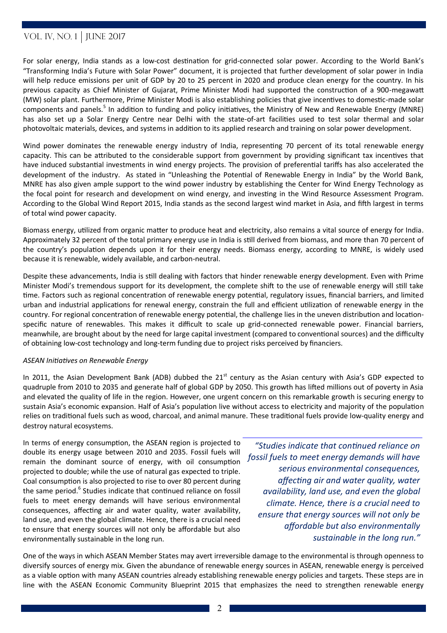For solar energy, India stands as a low-cost destination for grid-connected solar power. According to the World Bank's "Transforming India's Future with Solar Power" document, it is projected that further development of solar power in India will help reduce emissions per unit of GDP by 20 to 25 percent in 2020 and produce clean energy for the country. In his previous capacity as Chief Minister of Gujarat, Prime Minister Modi had supported the construction of a 900-megawatt (MW) solar plant. Furthermore, Prime Minister Modi is also establishing policies that give incentives to domestic-made solar components and panels.<sup>5</sup> In addition to funding and policy initiatives, the Ministry of New and Renewable Energy (MNRE) has also set up a Solar Energy Centre near Delhi with the state-of-art facilities used to test solar thermal and solar photovoltaic materials, devices, and systems in addition to its applied research and training on solar power development.

Wind power dominates the renewable energy industry of India, representing 70 percent of its total renewable energy capacity. This can be attributed to the considerable support from government by providing significant tax incentives that have induced substantial investments in wind energy projects. The provision of preferential tariffs has also accelerated the development of the industry. As stated in "Unleashing the Potential of Renewable Energy in India" by the World Bank, MNRE has also given ample support to the wind power industry by establishing the Center for Wind Energy Technology as the focal point for research and development on wind energy, and investing in the Wind Resource Assessment Program. According to the Global Wind Report 2015, India stands as the second largest wind market in Asia, and fifth largest in terms of total wind power capacity.

Biomass energy, utilized from organic matter to produce heat and electricity, also remains a vital source of energy for India. Approximately 32 percent of the total primary energy use in India is still derived from biomass, and more than 70 percent of the country's population depends upon it for their energy needs. Biomass energy, according to MNRE, is widely used because it is renewable, widely available, and carbon-neutral.

Despite these advancements, India is still dealing with factors that hinder renewable energy development. Even with Prime Minister Modi's tremendous support for its development, the complete shift to the use of renewable energy will still take time. Factors such as regional concentration of renewable energy potential, regulatory issues, financial barriers, and limited urban and industrial applications for renewal energy, constrain the full and efficient utilization of renewable energy in the country. For regional concentration of renewable energy potential, the challenge lies in the uneven distribution and locationspecific nature of renewables. This makes it difficult to scale up grid-connected renewable power. Financial barriers, meanwhile, are brought about by the need for large capital investment (compared to conventional sources) and the difficulty of obtaining low-cost technology and long-term funding due to project risks perceived by financiers.

#### *ASEAN Initiatives on Renewable Energy*

In 2011, the Asian Development Bank (ADB) dubbed the 21<sup>st</sup> century as the Asian century with Asia's GDP expected to quadruple from 2010 to 2035 and generate half of global GDP by 2050. This growth has lifted millions out of poverty in Asia and elevated the quality of life in the region. However, one urgent concern on this remarkable growth is securing energy to sustain Asia's economic expansion. Half of Asia's population live without access to electricity and majority of the population relies on traditional fuels such as wood, charcoal, and animal manure. These traditional fuels provide low-quality energy and destroy natural ecosystems.

In terms of energy consumption, the ASEAN region is projected to double its energy usage between 2010 and 2035. Fossil fuels will remain the dominant source of energy, with oil consumption projected to double; while the use of natural gas expected to triple. Coal consumption is also projected to rise to over 80 percent during the same period.<sup>6</sup> Studies indicate that continued reliance on fossil fuels to meet energy demands will have serious environmental consequences, affecting air and water quality, water availability, land use, and even the global climate. Hence, there is a crucial need to ensure that energy sources will not only be affordable but also environmentally sustainable in the long run.

*"Studies indicate that continued reliance on fossil fuels to meet energy demands will have serious environmental consequences, affecting air and water quality, water availability, land use, and even the global climate. Hence, there is a crucial need to ensure that energy sources will not only be affordable but also environmentally sustainable in the long run."*

One of the ways in which ASEAN Member States may avert irreversible damage to the environmental is through openness to diversify sources of energy mix. Given the abundance of renewable energy sources in ASEAN, renewable energy is perceived as a viable option with many ASEAN countries already establishing renewable energy policies and targets. These steps are in line with the ASEAN Economic Community Blueprint 2015 that emphasizes the need to strengthen renewable energy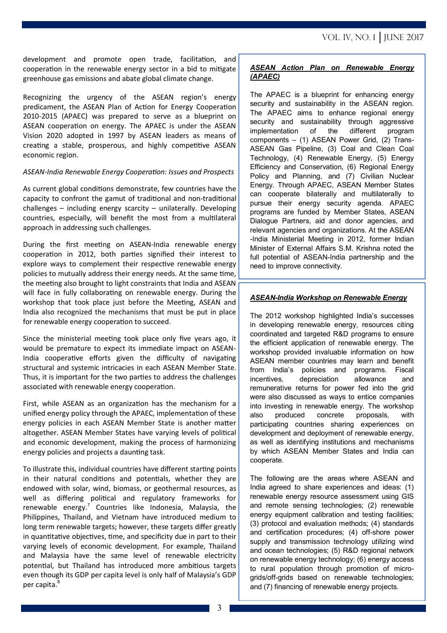development and promote open trade, facilitation, and cooperation in the renewable energy sector in a bid to mitigate greenhouse gas emissions and abate global climate change.

Recognizing the urgency of the ASEAN region's energy predicament, the ASEAN Plan of Action for Energy Cooperation 2010-2015 (APAEC) was prepared to serve as a blueprint on ASEAN cooperation on energy. The APAEC is under the ASEAN Vision 2020 adopted in 1997 by ASEAN leaders as means of creating a stable, prosperous, and highly competitive ASEAN economic region.

#### *ASEAN-India Renewable Energy Cooperation: Issues and Prospects*

As current global conditions demonstrate, few countries have the capacity to confront the gamut of traditional and non-traditional challenges – including energy scarcity – unilaterally. Developing countries, especially, will benefit the most from a multilateral approach in addressing such challenges.

During the first meeting on ASEAN-India renewable energy cooperation in 2012, both parties signified their interest to explore ways to complement their respective renewable energy policies to mutually address their energy needs. At the same time, the meeting also brought to light constraints that India and ASEAN will face in fully collaborating on renewable energy. During the workshop that took place just before the Meeting, ASEAN and India also recognized the mechanisms that must be put in place for renewable energy cooperation to succeed.

Since the ministerial meeting took place only five years ago, it would be premature to expect its immediate impact on ASEAN-India cooperative efforts given the difficulty of navigating structural and systemic intricacies in each ASEAN Member State. Thus, it is important for the two parties to address the challenges associated with renewable energy cooperation.

First, while ASEAN as an organization has the mechanism for a unified energy policy through the APAEC, implementation of these energy policies in each ASEAN Member State is another matter altogether. ASEAN Member States have varying levels of political and economic development, making the process of harmonizing energy policies and projects a daunting task.

To illustrate this, individual countries have different starting points in their natural conditions and potentials, whether they are endowed with solar, wind, biomass, or geothermal resources, as well as differing political and regulatory frameworks for renewable energy.<sup>7</sup> Countries like Indonesia, Malaysia, the Philippines, Thailand, and Vietnam have introduced medium to long term renewable targets; however, these targets differ greatly in quantitative objectives, time, and specificity due in part to their varying levels of economic development. For example, Thailand and Malaysia have the same level of renewable electricity potential, but Thailand has introduced more ambitious targets even though its GDP per capita level is only half of Malaysia's GDP per capita.<sup>8</sup>

## *ASEAN Action Plan on Renewable Energy (APAEC)*

The APAEC is a blueprint for enhancing energy security and sustainability in the ASEAN region. The APAEC aims to enhance regional energy security and sustainability through aggressive implementation of the different program components – (1) ASEAN Power Grid, (2) Trans-ASEAN Gas Pipeline, (3) Coal and Clean Coal Technology, (4) Renewable Energy, (5) Energy Efficiency and Conservation, (6) Regional Energy Policy and Planning, and (7) Civilian Nuclear Energy. Through APAEC, ASEAN Member States can cooperate bilaterally and multilaterally to pursue their energy security agenda. APAEC programs are funded by Member States, ASEAN Dialogue Partners, aid and donor agencies, and relevant agencies and organizations. At the ASEAN -India Ministerial Meeting in 2012, former Indian Minister of External Affairs S.M. Krishna noted the full potential of ASEAN-India partnership and the need to improve connectivity.

## *ASEAN-India Workshop on Renewable Energy*

The 2012 workshop highlighted India's successes in developing renewable energy, resources citing coordinated and targeted R&D programs to ensure the efficient application of renewable energy. The workshop provided invaluable information on how ASEAN member countries may learn and benefit from India's policies and programs. Fiscal incentives, depreciation allowance and remunerative returns for power fed into the grid were also discussed as ways to entice companies into investing in renewable energy. The workshop also produced concrete proposals, with participating countries sharing experiences on development and deployment of renewable energy, as well as identifying institutions and mechanisms by which ASEAN Member States and India can cooperate.

The following are the areas where ASEAN and India agreed to share experiences and ideas: (1) renewable energy resource assessment using GIS and remote sensing technologies; (2) renewable energy equipment calibration and testing facilities; (3) protocol and evaluation methods; (4) standards and certification procedures; (4) off-shore power supply and transmission technology utilizing wind and ocean technologies; (5) R&D regional network on renewable energy technology; (6) energy access to rural population through promotion of microgrids/off-grids based on renewable technologies; and (7) financing of renewable energy projects.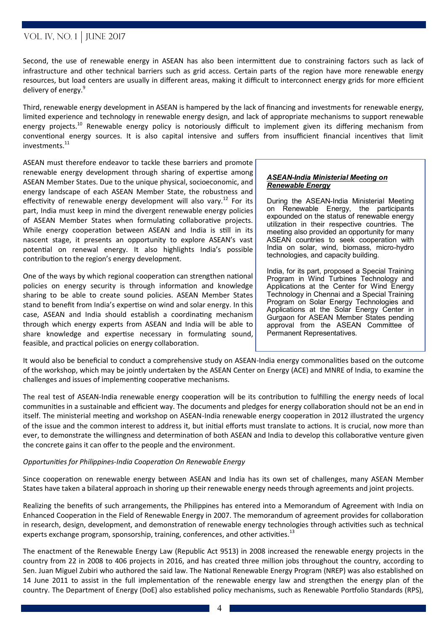Second, the use of renewable energy in ASEAN has also been intermittent due to constraining factors such as lack of infrastructure and other technical barriers such as grid access. Certain parts of the region have more renewable energy resources, but load centers are usually in different areas, making it difficult to interconnect energy grids for more efficient delivery of energy.<sup>9</sup>

Third, renewable energy development in ASEAN is hampered by the lack of financing and investments for renewable energy, limited experience and technology in renewable energy design, and lack of appropriate mechanisms to support renewable energy projects.<sup>10</sup> Renewable energy policy is notoriously difficult to implement given its differing mechanism from conventional energy sources. It is also capital intensive and suffers from insufficient financial incentives that limit investments.<sup>11</sup>

ASEAN must therefore endeavor to tackle these barriers and promote renewable energy development through sharing of expertise among ASEAN Member States. Due to the unique physical, socioeconomic, and energy landscape of each ASEAN Member State, the robustness and effectivity of renewable energy development will also vary.<sup>12</sup> For its part, India must keep in mind the divergent renewable energy policies of ASEAN Member States when formulating collaborative projects. While energy cooperation between ASEAN and India is still in its nascent stage, it presents an opportunity to explore ASEAN's vast potential on renewal energy. It also highlights India's possible contribution to the region's energy development.

One of the ways by which regional cooperation can strengthen national policies on energy security is through information and knowledge sharing to be able to create sound policies. ASEAN Member States stand to benefit from India's expertise on wind and solar energy. In this case, ASEAN and India should establish a coordinating mechanism through which energy experts from ASEAN and India will be able to share knowledge and expertise necessary in formulating sound, feasible, and practical policies on energy collaboration.

#### *ASEAN-India Ministerial Meeting on Renewable Energy*

During the ASEAN-India Ministerial Meeting on Renewable Energy, the participants expounded on the status of renewable energy utilization in their respective countries. The meeting also provided an opportunity for many ASEAN countries to seek cooperation with India on solar, wind, biomass, micro-hydro technologies, and capacity building.

India, for its part, proposed a Special Training Program in Wind Turbines Technology and Applications at the Center for Wind Energy Technology in Chennai and a Special Training Program on Solar Energy Technologies and Applications at the Solar Energy Center in Gurgaon for ASEAN Member States pending approval from the ASEAN Committee of Permanent Representatives.

It would also be beneficial to conduct a comprehensive study on ASEAN-India energy commonalities based on the outcome of the workshop, which may be jointly undertaken by the ASEAN Center on Energy (ACE) and MNRE of India, to examine the challenges and issues of implementing cooperative mechanisms.

The real test of ASEAN-India renewable energy cooperation will be its contribution to fulfilling the energy needs of local communities in a sustainable and efficient way. The documents and pledges for energy collaboration should not be an end in itself. The ministerial meeting and workshop on ASEAN-India renewable energy cooperation in 2012 illustrated the urgency of the issue and the common interest to address it, but initial efforts must translate to actions. It is crucial, now more than ever, to demonstrate the willingness and determination of both ASEAN and India to develop this collaborative venture given the concrete gains it can offer to the people and the environment.

### *Opportunities for Philippines-India Cooperation On Renewable Energy*

Since cooperation on renewable energy between ASEAN and India has its own set of challenges, many ASEAN Member States have taken a bilateral approach in shoring up their renewable energy needs through agreements and joint projects.

Realizing the benefits of such arrangements, the Philippines has entered into a Memorandum of Agreement with India on Enhanced Cooperation in the Field of Renewable Energy in 2007. The memorandum of agreement provides for collaboration in research, design, development, and demonstration of renewable energy technologies through activities such as technical experts exchange program, sponsorship, training, conferences, and other activities.<sup>13</sup>

The enactment of the Renewable Energy Law (Republic Act 9513) in 2008 increased the renewable energy projects in the country from 22 in 2008 to 406 projects in 2016, and has created three million jobs throughout the country, according to Sen. Juan Miguel Zubiri who authored the said law. The National Renewable Energy Program (NREP) was also established on 14 June 2011 to assist in the full implementation of the renewable energy law and strengthen the energy plan of the country. The Department of Energy (DoE) also established policy mechanisms, such as Renewable Portfolio Standards (RPS),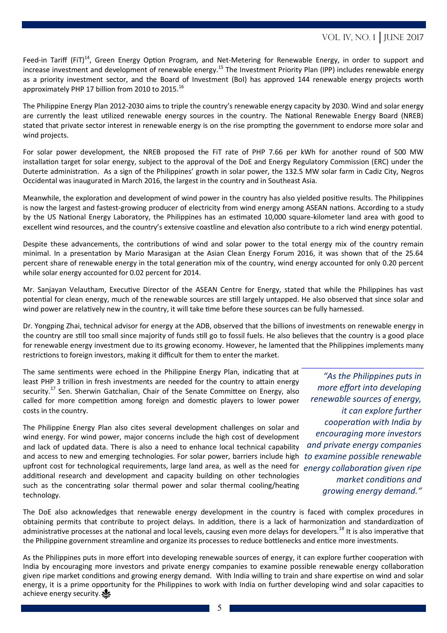Feed-in Tariff (FiT)<sup>14</sup>, Green Energy Option Program, and Net-Metering for Renewable Energy, in order to support and increase investment and development of renewable energy.<sup>15</sup> The Investment Priority Plan (IPP) includes renewable energy as a priority investment sector, and the Board of Investment (BoI) has approved 144 renewable energy projects worth approximately PHP 17 billion from 2010 to 2015.<sup>16</sup>

The Philippine Energy Plan 2012-2030 aims to triple the country's renewable energy capacity by 2030. Wind and solar energy are currently the least utilized renewable energy sources in the country. The National Renewable Energy Board (NREB) stated that private sector interest in renewable energy is on the rise prompting the government to endorse more solar and wind projects.

For solar power development, the NREB proposed the FiT rate of PHP 7.66 per kWh for another round of 500 MW installation target for solar energy, subject to the approval of the DoE and Energy Regulatory Commission (ERC) under the Duterte administration. As a sign of the Philippines' growth in solar power, the 132.5 MW solar farm in Cadiz City, Negros Occidental was inaugurated in March 2016, the largest in the country and in Southeast Asia.

Meanwhile, the exploration and development of wind power in the country has also yielded positive results. The Philippines is now the largest and fastest-growing producer of electricity from wind energy among ASEAN nations. According to a study by the US National Energy Laboratory, the Philippines has an estimated 10,000 square-kilometer land area with good to excellent wind resources, and the country's extensive coastline and elevation also contribute to a rich wind energy potential.

Despite these advancements, the contributions of wind and solar power to the total energy mix of the country remain minimal. In a presentation by Mario Marasigan at the Asian Clean Energy Forum 2016, it was shown that of the 25.64 percent share of renewable energy in the total generation mix of the country, wind energy accounted for only 0.20 percent while solar energy accounted for 0.02 percent for 2014.

Mr. Sanjayan Velautham, Executive Director of the ASEAN Centre for Energy, stated that while the Philippines has vast potential for clean energy, much of the renewable sources are still largely untapped. He also observed that since solar and wind power are relatively new in the country, it will take time before these sources can be fully harnessed.

Dr. Yongping Zhai, technical advisor for energy at the ADB, observed that the billions of investments on renewable energy in the country are still too small since majority of funds still go to fossil fuels. He also believes that the country is a good place for renewable energy investment due to its growing economy. However, he lamented that the Philippines implements many restrictions to foreign investors, making it difficult for them to enter the market.

The same sentiments were echoed in the Philippine Energy Plan, indicating that at least PHP 3 trillion in fresh investments are needed for the country to attain energy security.<sup>17</sup> Sen. Sherwin Gatchalian, Chair of the Senate Committee on Energy, also called for more competition among foreign and domestic players to lower power costs in the country.

The Philippine Energy Plan also cites several development challenges on solar and wind energy. For wind power, major concerns include the high cost of development and lack of updated data. There is also a need to enhance local technical capability and access to new and emerging technologies. For solar power, barriers include high *to examine possible renewable*  upfront cost for technological requirements, large land area, as well as the need for additional research and development and capacity building on other technologies such as the concentrating solar thermal power and solar thermal cooling/heating technology.

*"As the Philippines puts in more effort into developing renewable sources of energy, it can explore further cooperation with India by encouraging more investors and private energy companies energy collaboration given ripe market conditions and growing energy demand."*

The DoE also acknowledges that renewable energy development in the country is faced with complex procedures in obtaining permits that contribute to project delays. In addition, there is a lack of harmonization and standardization of administrative processes at the national and local levels, causing even more delays for developers.<sup>18</sup> It is also imperative that the Philippine government streamline and organize its processes to reduce bottlenecks and entice more investments.

As the Philippines puts in more effort into developing renewable sources of energy, it can explore further cooperation with India by encouraging more investors and private energy companies to examine possible renewable energy collaboration given ripe market conditions and growing energy demand. With India willing to train and share expertise on wind and solar energy, it is a prime opportunity for the Philippines to work with India on further developing wind and solar capacities to achieve energy security.